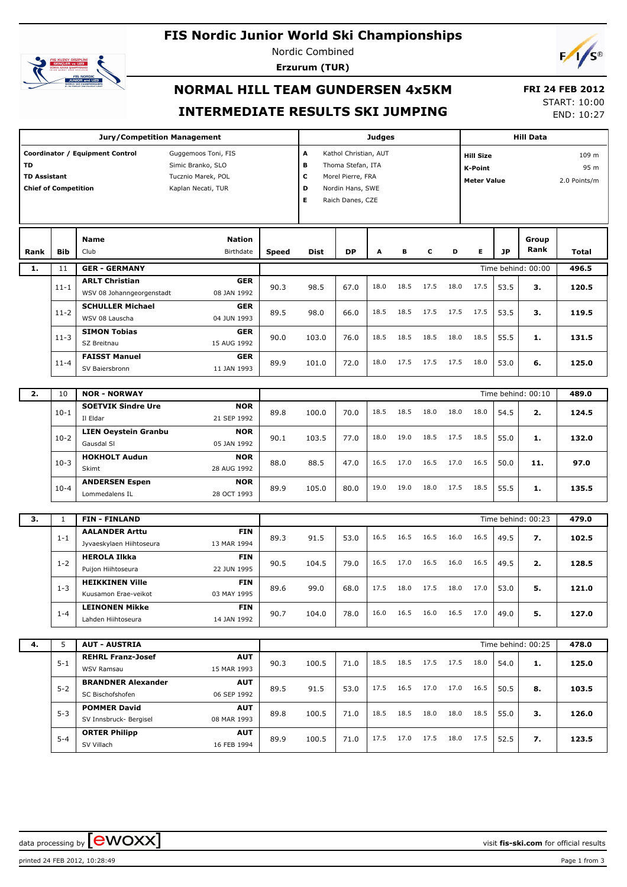# **FIS Nordic Junior World Ski Championships**



Nordic Combined **Erzurum (TUR)**



## **NORMAL HILL TEAM GUNDERSEN 4x5KM INTERMEDIATE RESULTS SKI JUMPING**

 **FRI 24 FEB 2012** START: 10:00

END: 10:27

|                           |                             | <b>Jury/Competition Management</b>                                                                                      |                    | <b>Judges</b>                                                                                                                    |           |      |                                                          |           |      | <b>Hill Data</b>              |           |                    |              |
|---------------------------|-----------------------------|-------------------------------------------------------------------------------------------------------------------------|--------------------|----------------------------------------------------------------------------------------------------------------------------------|-----------|------|----------------------------------------------------------|-----------|------|-------------------------------|-----------|--------------------|--------------|
| TD<br><b>TD Assistant</b> | <b>Chief of Competition</b> | Coordinator / Equipment Control<br>Guggemoos Toni, FIS<br>Simic Branko, SLO<br>Tucznio Marek, POL<br>Kaplan Necati, TUR |                    | A<br>Kathol Christian, AUT<br>B<br>Thoma Stefan, ITA<br>c<br>Morel Pierre, FRA<br>D<br>Nordin Hans, SWE<br>Е<br>Raich Danes, CZE |           |      | <b>Hill Size</b><br><b>K-Point</b><br><b>Meter Value</b> |           |      | 109 m<br>95 m<br>2.0 Points/m |           |                    |              |
| Rank                      | <b>Bib</b>                  | <b>Nation</b><br><b>Name</b><br>Birthdate<br>Club                                                                       | <b>Speed</b>       | <b>Dist</b>                                                                                                                      | <b>DP</b> | A    | в                                                        | c         | D    | Е                             | <b>JP</b> | Group<br>Rank      | <b>Total</b> |
| 1.                        | 11                          | <b>GER - GERMANY</b>                                                                                                    |                    |                                                                                                                                  |           |      |                                                          |           |      |                               |           | Time behind: 00:00 | 496.5        |
|                           | $11 - 1$                    | <b>ARLT Christian</b><br><b>GER</b><br>WSV 08 Johanngeorgenstadt<br>08 JAN 1992                                         | 90.3               | 98.5                                                                                                                             | 67.0      | 18.0 | 18.5                                                     | 17.5      | 18.0 | 17.5                          | 53.5      | з.                 | 120.5        |
|                           | $11 - 2$                    | <b>SCHULLER Michael</b><br><b>GER</b><br>WSV 08 Lauscha<br>04 JUN 1993                                                  | 89.5               | 98.0                                                                                                                             | 66.0      | 18.5 | 18.5                                                     | 17.5      | 17.5 | 17.5                          | 53.5      | з.                 | 119.5        |
|                           | $11 - 3$                    | <b>SIMON Tobias</b><br><b>GER</b><br>15 AUG 1992<br>SZ Breitnau                                                         | 90.0               | 103.0                                                                                                                            | 76.0      | 18.5 | 18.5                                                     | 18.5      | 18.0 | 18.5                          | 55.5      | 1.                 | 131.5        |
|                           | $11 - 4$                    | <b>FAISST Manuel</b><br><b>GER</b><br>11 JAN 1993<br>SV Baiersbronn                                                     | 89.9               | 101.0                                                                                                                            | 72.0      | 18.0 | 17.5                                                     | 17.5      | 17.5 | 18.0                          | 53.0      | 6.                 | 125.0        |
| 2.                        | 10                          | <b>NOR - NORWAY</b>                                                                                                     |                    |                                                                                                                                  |           |      |                                                          |           |      |                               |           | Time behind: 00:10 | 489.0        |
|                           | $10-1$                      | <b>NOR</b><br><b>SOETVIK Sindre Ure</b><br>Il Eldar<br>21 SEP 1992                                                      | 89.8               | 100.0                                                                                                                            | 70.0      | 18.5 | 18.5                                                     | 18.0      | 18.0 | 18.0                          | 54.5      | 2.                 | 124.5        |
|                           | $10-2$                      | <b>LIEN Oeystein Granbu</b><br><b>NOR</b><br>05 JAN 1992<br>Gausdal SI                                                  | 90.1               | 103.5                                                                                                                            | 77.0      | 18.0 | 19.0                                                     | 18.5      | 17.5 | 18.5                          | 55.0      | 1.                 | 132.0        |
|                           | $10-3$                      | <b>HOKHOLT Audun</b><br><b>NOR</b><br>28 AUG 1992<br>Skimt                                                              | 88.0               | 88.5                                                                                                                             | 47.0      | 16.5 | 17.0                                                     | 16.5      | 17.0 | 16.5                          | 50.0      | 11.                | 97.0         |
|                           | $10 - 4$                    | <b>ANDERSEN Espen</b><br><b>NOR</b><br>28 OCT 1993<br>Lommedalens IL                                                    | 89.9               | 105.0                                                                                                                            | 80.0      | 19.0 | 19.0                                                     | 18.0      | 17.5 | 18.5                          | 55.5      | 1.                 | 135.5        |
| з.                        | $\mathbf{1}$                | <b>FIN - FINLAND</b>                                                                                                    | Time behind: 00:23 |                                                                                                                                  |           |      |                                                          |           |      |                               |           | 479.0              |              |
|                           |                             | <b>AALANDER Arttu</b><br><b>FIN</b>                                                                                     |                    |                                                                                                                                  |           |      |                                                          |           |      |                               |           |                    |              |
|                           | $1 - 1$                     | Jyvaeskylaen Hiihtoseura<br>13 MAR 1994<br><b>HEROLA Ilkka</b><br><b>FIN</b>                                            | 89.3               | 91.5                                                                                                                             | 53.0      | 16.5 | 16.5                                                     | 16.5      | 16.0 | 16.5                          | 49.5      | 7.                 | 102.5        |
|                           | $1 - 2$                     | 22 JUN 1995<br>Puijon Hiihtoseura<br><b>HEIKKINEN Ville</b><br><b>FIN</b>                                               | 90.5               | 104.5                                                                                                                            | 79.0      | 16.5 | 17.0                                                     | 16.5      | 16.0 | 16.5                          | 49.5      | 2.                 | 128.5        |
|                           | $1 - 3$                     | 03 MAY 1995<br>Kuusamon Erae-veikot<br><b>LEINONEN Mikke</b><br><b>FIN</b>                                              | 89.6               | 99.0                                                                                                                             | 68.0      | 17.5 | 18.0                                                     | 17.5      | 18.0 | 17.0                          | 53.0      | 5.                 | 121.0        |
|                           | $1 - 4$                     | Lahden Hiihtoseura<br>14 JAN 1992                                                                                       | 90.7               | 104.0                                                                                                                            | 78.0      | 16.0 |                                                          | 16.5 16.0 | 16.5 | 17.0                          | 49.0      | 5.                 | 127.0        |
| 4.                        | 5                           | <b>AUT - AUSTRIA</b>                                                                                                    |                    |                                                                                                                                  |           |      |                                                          |           |      |                               |           | Time behind: 00:25 | 478.0        |
|                           | $5 - 1$                     | <b>REHRL Franz-Josef</b><br><b>AUT</b><br>WSV Ramsau<br>15 MAR 1993                                                     | 90.3               | 100.5                                                                                                                            | 71.0      | 18.5 | 18.5                                                     | 17.5      | 17.5 | 18.0                          | 54.0      | 1.                 | 125.0        |
|                           | $5 - 2$                     | <b>BRANDNER Alexander</b><br><b>AUT</b><br>SC Bischofshofen<br>06 SEP 1992                                              | 89.5               | 91.5                                                                                                                             | 53.0      | 17.5 | 16.5                                                     | 17.0      | 17.0 | 16.5                          | 50.5      | 8.                 | 103.5        |
|                           | $5 - 3$                     | <b>POMMER David</b><br><b>AUT</b><br>SV Innsbruck- Bergisel<br>08 MAR 1993                                              | 89.8               | 100.5                                                                                                                            | 71.0      | 18.5 | 18.5                                                     | 18.0      | 18.0 | 18.5                          | 55.0      | з.                 | 126.0        |
|                           | $5 - 4$                     | <b>ORTER Philipp</b><br><b>AUT</b><br>SV Villach<br>16 FEB 1994                                                         | 89.9               | 100.5                                                                                                                            | 71.0      | 17.5 |                                                          | 17.0 17.5 | 18.0 | 17.5                          | 52.5      | 7.                 | 123.5        |

data processing by **CWOXX**  $\blacksquare$  and  $\blacksquare$  and  $\blacksquare$  and  $\blacksquare$  and  $\blacksquare$  and  $\blacksquare$  and  $\blacksquare$  and  $\blacksquare$  and  $\blacksquare$  and  $\blacksquare$  and  $\blacksquare$  and  $\blacksquare$  and  $\blacksquare$  and  $\blacksquare$  and  $\blacksquare$  and  $\blacksquare$  and  $\blacksquare$  and  $\blacksquare$  a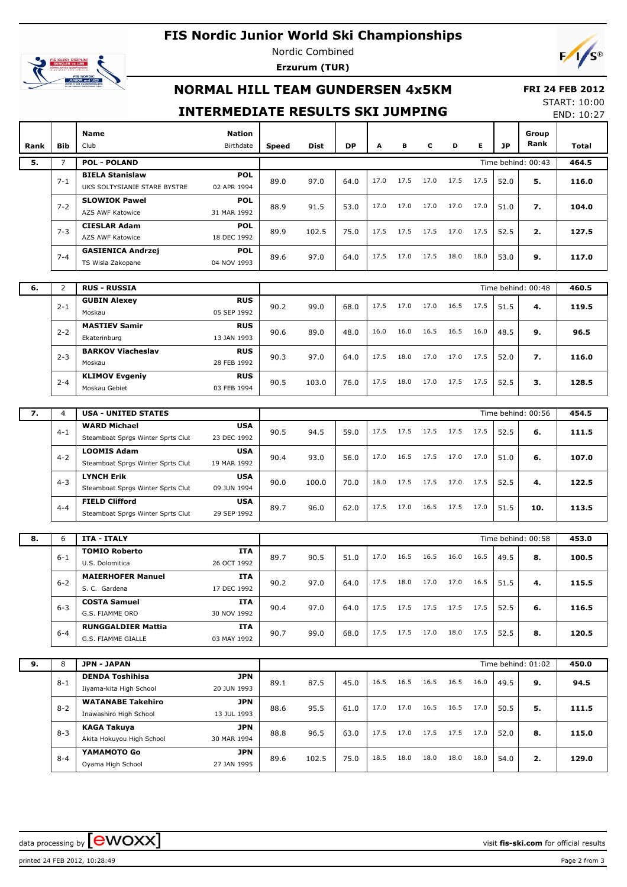### **FIS Nordic Junior World Ski Championships**



Nordic Combined **Erzurum (TUR)**



### **NORMAL HILL TEAM GUNDERSEN 4x5KM**

#### **FRI 24 FEB 2012** START: 10:00

### **INTERMEDIATE RESULTS SKI JUMPING**

END: 10:27

| Rank | Bib            | <b>Nation</b><br><b>Name</b><br>Birthdate<br>Club                                     | Speed | <b>Dist</b> | <b>DP</b> | A    | в    | c    | D    | Е    | <b>JP</b> | Group<br>Rank      | Total |
|------|----------------|---------------------------------------------------------------------------------------|-------|-------------|-----------|------|------|------|------|------|-----------|--------------------|-------|
| 5.   | $\overline{7}$ | <b>POL - POLAND</b>                                                                   |       |             |           |      |      |      |      |      |           | Time behind: 00:43 | 464.5 |
|      | $7 - 1$        | <b>BIELA Stanislaw</b><br><b>POL</b><br>UKS SOLTYSIANIE STARE BYSTRE<br>02 APR 1994   | 89.0  | 97.0        | 64.0      | 17.0 | 17.5 | 17.0 | 17.5 | 17.5 | 52.0      | 5.                 | 116.0 |
|      | $7 - 2$        | <b>SLOWIOK Pawel</b><br>POL<br>AZS AWF Katowice<br>31 MAR 1992                        | 88.9  | 91.5        | 53.0      | 17.0 | 17.0 | 17.0 | 17.0 | 17.0 | 51.0      | 7.                 | 104.0 |
|      | $7 - 3$        | <b>CIESLAR Adam</b><br>POL<br><b>AZS AWF Katowice</b><br>18 DEC 1992                  | 89.9  | 102.5       | 75.0      | 17.5 | 17.5 | 17.5 | 17.0 | 17.5 | 52.5      | 2.                 | 127.5 |
|      | $7 - 4$        | <b>GASIENICA Andrzej</b><br><b>POL</b><br>04 NOV 1993<br>TS Wisla Zakopane            | 89.6  | 97.0        | 64.0      | 17.5 | 17.0 | 17.5 | 18.0 | 18.0 | 53.0      | 9.                 | 117.0 |
|      |                |                                                                                       |       |             |           |      |      |      |      |      |           |                    |       |
| 6.   | $\overline{2}$ | <b>RUS - RUSSIA</b>                                                                   |       |             |           |      |      |      |      |      |           | Time behind: 00:48 | 460.5 |
|      | $2 - 1$        | <b>RUS</b><br><b>GUBIN Alexey</b><br>05 SEP 1992<br>Moskau                            | 90.2  | 99.0        | 68.0      | 17.5 | 17.0 | 17.0 | 16.5 | 17.5 | 51.5      | 4.                 | 119.5 |
|      | $2 - 2$        | <b>MASTIEV Samir</b><br><b>RUS</b><br>Ekaterinburg<br>13 JAN 1993                     | 90.6  | 89.0        | 48.0      | 16.0 | 16.0 | 16.5 | 16.5 | 16.0 | 48.5      | 9.                 | 96.5  |
|      | $2 - 3$        | <b>BARKOV Viacheslav</b><br><b>RUS</b><br>28 FEB 1992<br>Moskau                       | 90.3  | 97.0        | 64.0      | 17.5 | 18.0 | 17.0 | 17.0 | 17.5 | 52.0      | 7.                 | 116.0 |
|      | $2 - 4$        | <b>RUS</b><br><b>KLIMOV Evgeniy</b><br>Moskau Gebiet<br>03 FEB 1994                   | 90.5  | 103.0       | 76.0      | 17.5 | 18.0 | 17.0 | 17.5 | 17.5 | 52.5      | 3.                 | 128.5 |
|      |                |                                                                                       |       |             |           |      |      |      |      |      |           |                    |       |
| 7.   | $\overline{4}$ | <b>USA - UNITED STATES</b>                                                            |       |             |           |      |      |      |      |      |           | Time behind: 00:56 | 454.5 |
|      | $4 - 1$        | <b>WARD Michael</b><br><b>USA</b><br>Steamboat Sprgs Winter Sprts Clut<br>23 DEC 1992 | 90.5  | 94.5        | 59.0      | 17.5 | 17.5 | 17.5 | 17.5 | 17.5 | 52.5      | 6.                 | 111.5 |
|      | $4 - 2$        | <b>LOOMIS Adam</b><br><b>USA</b><br>Steamboat Sprgs Winter Sprts Clut<br>19 MAR 1992  | 90.4  | 93.0        | 56.0      | 17.0 | 16.5 | 17.5 | 17.0 | 17.0 | 51.0      | 6.                 | 107.0 |
|      | $4 - 3$        | <b>LYNCH Erik</b><br><b>USA</b><br>09 JUN 1994                                        | 90.0  | 100.0       | 70.0      | 18.0 | 17.5 | 17.5 | 17.0 | 17.5 | 52.5      | 4.                 | 122.5 |
|      | $4 - 4$        | Steamboat Sprgs Winter Sprts Clut<br><b>FIELD Clifford</b><br><b>USA</b>              | 89.7  | 96.0        | 62.0      | 17.5 | 17.0 | 16.5 | 17.5 | 17.0 | 51.5      | 10.                | 113.5 |
|      |                | Steamboat Sprgs Winter Sprts Clut<br>29 SEP 1992                                      |       |             |           |      |      |      |      |      |           |                    |       |
| 8.   | 6              | <b>ITA - ITALY</b>                                                                    |       |             |           |      |      |      |      |      |           | Time behind: 00:58 | 453.0 |
|      |                | <b>TOMIO Roberto</b><br><b>ITA</b>                                                    |       |             |           |      |      |      |      |      |           |                    |       |
|      | $6 - 1$        | U.S. Dolomitica<br>26 OCT 1992                                                        | 89.7  | 90.5        | 51.0      | 17.0 | 16.5 | 16.5 | 16.0 | 16.5 | 49.5      | 8.                 | 100.5 |
|      | $6 - 2$        | <b>MAIERHOFER Manuel</b><br>ITA<br>17 DEC 1992<br>S. C. Gardena                       | 90.2  | 97.0        | 64.0      | 17.5 | 18.0 | 17.0 | 17.0 | 16.5 | 51.5      | 4.                 | 115.5 |
|      | $6 - 3$        | <b>COSTA Samuel</b><br>ITA<br>G.S. FIAMME ORO<br>30 NOV 1992                          | 90.4  | 97.0        | 64.0      | 17.5 | 17.5 | 17.5 | 17.5 | 17.5 | 52.5      | 6.                 | 116.5 |
|      | $6 - 4$        | <b>RUNGGALDIER Mattia</b><br>ITA<br>G.S. FIAMME GIALLE<br>03 MAY 1992                 | 90.7  | 99.0        | 68.0      | 17.5 | 17.5 | 17.0 | 18.0 | 17.5 | 52.5      | 8.                 | 120.5 |
|      |                |                                                                                       |       |             |           |      |      |      |      |      |           |                    |       |
| 9.   | 8              | <b>JPN - JAPAN</b>                                                                    |       |             |           |      |      |      |      |      |           | Time behind: 01:02 | 450.0 |
|      | $8 - 1$        | <b>DENDA Toshihisa</b><br><b>JPN</b><br>Iiyama-kita High School<br>20 JUN 1993        | 89.1  | 87.5        | 45.0      | 16.5 | 16.5 | 16.5 | 16.5 | 16.0 | 49.5      | 9.                 | 94.5  |
|      | $8 - 2$        | <b>WATANABE Takehiro</b><br>JPN<br>Inawashiro High School<br>13 JUL 1993              | 88.6  | 95.5        | 61.0      | 17.0 | 17.0 | 16.5 | 16.5 | 17.0 | 50.5      | 5.                 | 111.5 |
|      | $8 - 3$        | <b>KAGA Takuya</b><br>JPN<br>Akita Hokuyou High School<br>30 MAR 1994                 | 88.8  | 96.5        | 63.0      | 17.5 | 17.0 | 17.5 | 17.5 | 17.0 | 52.0      | 8.                 | 115.0 |
|      | $8 - 4$        | YAMAMOTO Go<br>JPN<br>Oyama High School<br>27 JAN 1995                                | 89.6  | 102.5       | 75.0      | 18.5 | 18.0 | 18.0 | 18.0 | 18.0 | 54.0      | 2.                 | 129.0 |

data processing by  $\boxed{\text{ewOX}}$